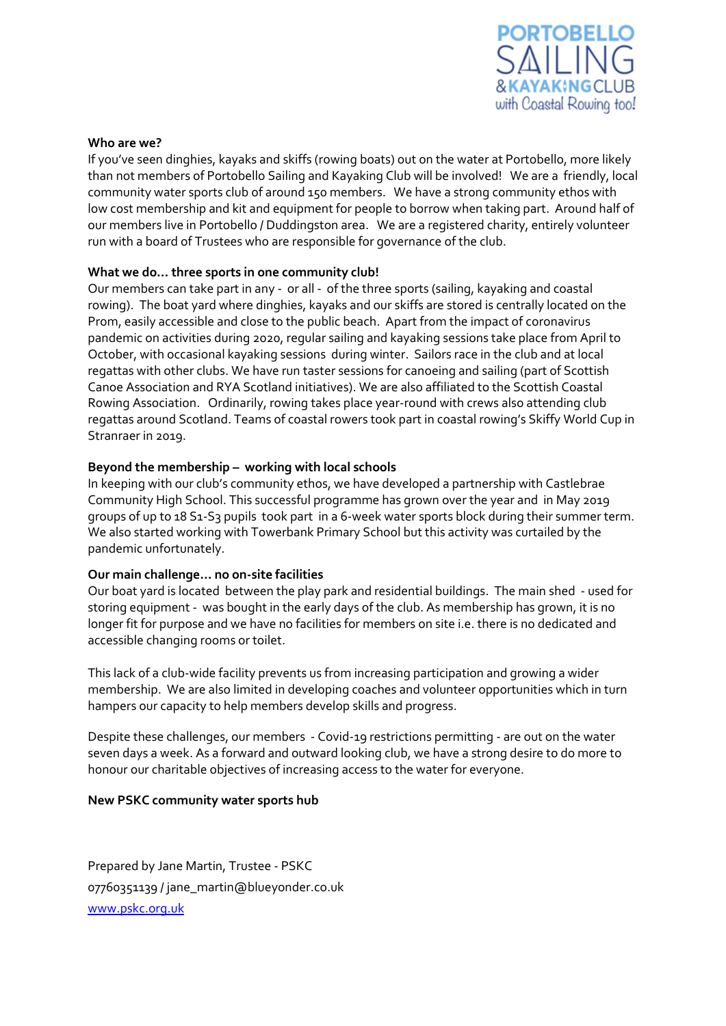

### **Who are we?**

If you've seen dinghies, kayaks and skiffs (rowing boats) out on the water at Portobello, more likely than not members of Portobello Sailing and Kayaking Club will be involved! We are a friendly, local community water sports club of around 150 members. We have a strong community ethos with low cost membership and kit and equipment for people to borrow when taking part. Around half of our members live in Portobello / Duddingston area. We are a registered charity, entirely volunteer run with a board of Trustees who are responsible for governance of the club.

# **What we do… three sports in one community club!**

Our members can take part in any - or all - of the three sports (sailing, kayaking and coastal rowing). The boat yard where dinghies, kayaks and our skiffs are stored is centrally located on the Prom, easily accessible and close to the public beach. Apart from the impact of coronavirus pandemic on activities during 2020, regular sailing and kayaking sessions take place from April to October, with occasional kayaking sessions during winter. Sailors race in the club and at local regattas with other clubs. We have run taster sessions for canoeing and sailing (part of Scottish Canoe Association and RYA Scotland initiatives). We are also affiliated to the Scottish Coastal Rowing Association. Ordinarily, rowing takes place year-round with crews also attending club regattas around Scotland. Teams of coastal rowers took part in coastal rowing's Skiffy World Cup in Stranraer in 2019.

# **Beyond the membership – working with local schools**

In keeping with our club's community ethos, we have developed a partnership with Castlebrae Community High School. This successful programme has grown over the year and in May 2019 groups of up to 18 S1-S3 pupils took part in a 6-week water sports block during their summer term. We also started working with Towerbank Primary School but this activity was curtailed by the pandemic unfortunately.

## **Our main challenge… no on-site facilities**

Our boat yard is located between the play park and residential buildings. The main shed - used for storing equipment - was bought in the early days of the club. As membership has grown, it is no longer fit for purpose and we have no facilities for members on site i.e. there is no dedicated and accessible changing rooms or toilet.

This lack of a club-wide facility prevents us from increasing participation and growing a wider membership. We are also limited in developing coaches and volunteer opportunities which in turn hampers our capacity to help members develop skills and progress.

Despite these challenges, our members - Covid-19 restrictions permitting - are out on the water seven days a week. As a forward and outward looking club, we have a strong desire to do more to honour our charitable objectives of increasing access to the water for everyone.

## **New PSKC community water sports hub**

Prepared by Jane Martin, Trustee - PSKC 07760351139 / jane\_martin@blueyonder.co.uk [www.pskc.org.uk](http://www.pskc.org.uk/)